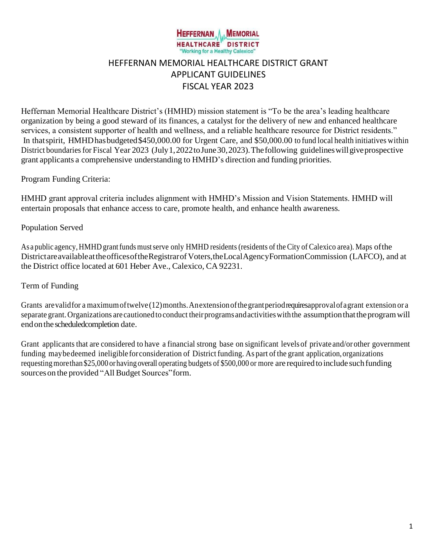

# HEFFERNAN MEMORIAL HEALTHCARE DISTRICT GRANT APPLICANT GUIDELINES FISCAL YEAR 2023

Heffernan Memorial Healthcare District's (HMHD) mission statement is "To be the area's leading healthcare organization by being a good steward of its finances, a catalyst for the delivery of new and enhanced healthcare services, a consistent supporter of health and wellness, and a reliable healthcare resource for District residents." In that spirit, HMHD has budgeted \$450,000.00 for Urgent Care, and \$50,000.00 to fund local health initiatives within District boundaries for Fiscal Year 2023 (July 1, 2022 to June 30, 2023). The following guidelines will give prospective grant applicants a comprehensive understanding to HMHD's direction and funding priorities.

# Program Funding Criteria:

HMHD grant approval criteria includes alignment with HMHD's Mission and Vision Statements. HMHD will entertain proposals that enhance access to care, promote health, and enhance health awareness.

# Population Served

As a public agency, HMHD grant funds must serve only HMHD residents (residents of the City of Calexico area). Maps of the DistrictareavailableattheofficesoftheRegistrarofVoters,theLocalAgencyFormationCommission (LAFCO), and at the District office located at 601 Heber Ave., Calexico, CA 92231.

#### Term of Funding

Grants are valid for a maximum of twelve (12) months. An extension of the grant period requires approval of a grant extension or a separate grant.Organizations are cautioned to conduct theirprograms andactivitieswiththe assumptionthattheprogramwill end on the scheduled completion date.

Grant applicants that are considered to have a financial strong base on significant levelsof private and/or other government funding may be deemed ineligible for consideration of District funding. As part of the grant application, organizations requesting more than \$25,000 or having overall operating budgets of \$500,000 or more are required to include such funding sources on the provided "All Budget Sources" form.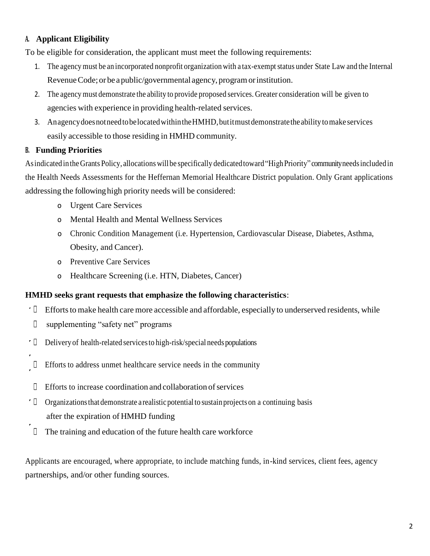# **A. Applicant Eligibility**

To be eligible for consideration, the applicant must meet the following requirements:

- 1. The agency must be an incorporated nonprofit organization with a tax-exempt status under State Law and the Internal Revenue Code; or be a public/governmental agency, program or institution.
- 2. The agency must demonstrate the ability to provide proposed services. Greater consideration will be given to agencies with experience in providing health-related services.
- 3. AnagencydoesnotneedtobelocatedwithintheHMHD,butitmustdemonstratetheabilitytomake services easily accessible to those residing in HMHD community.

# **B. Funding Priorities**

Asindicated intheGrants Policy, allocations willbe specifically dedicatedtoward"HighPriority" communityneedsincluded in the Health Needs Assessments for the Heffernan Memorial Healthcare District population. Only Grant applications addressing the followinghigh priority needs will be considered:

- o Urgent Care Services
- o Mental Health and Mental Wellness Services
- o Chronic Condition Management (i.e. Hypertension, Cardiovascular Disease, Diabetes, Asthma, Obesity, and Cancer).
- o Preventive Care Services
- o Healthcare Screening (i.e. HTN, Diabetes, Cancer)

#### **HMHD seeks grant requests that emphasize the following characteristics**:

- $\cdot$  0 Efforts to make health care more accessible and affordable, especially to underserved residents, while
	- supplementing "safety net" programs  $\Box$
- $\cdot$  [] Delivery of health-related servicesto high-risk/special needs populations
- $\Box$ Efforts to address unmet healthcare service needs in the community
- $\Box$ Efforts to increase coordination and collaboration of services
- $\cdot$  0 Organizationsthat demonstrate a realisticpotentialto sustain projects on a continuing basis after the expiration of HMHD funding
- $\Box$ The training and education of the future health care workforce

Applicants are encouraged, where appropriate, to include matching funds, in-kind services, client fees, agency partnerships, and/or other funding sources.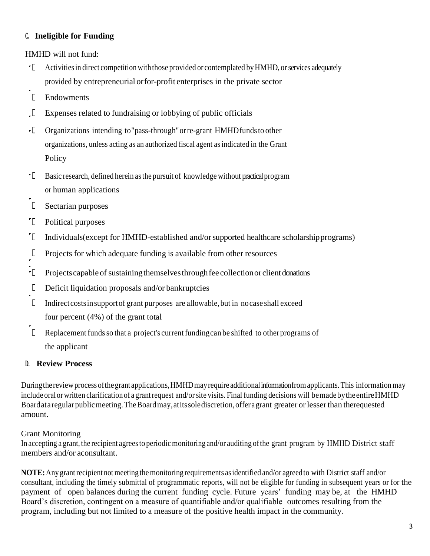# **C. Ineligible for Funding**

HMHD will not fund:

- $\cdot \Box$ Activitiesin direct competition with those provided or contemplated byHMHD, orservices adequately provided by entrepreneurial orfor-profit enterprises in the private sector
- $\begin{bmatrix} 1 \\ 2 \end{bmatrix}$ Endowments
- $\Box$ Expenses related to fundraising or lobbying of public officials
- $\cdot \mathbb{L}$ Organizations intending to"pass-through"orre-grant HMHDfundsto other organizations, unless acting as an authorized fiscal agent asindicated in the Grant Policy
- $\cdot$  0 Basic research, defined herein as the pursuit of knowledge without practical program or human applications
- $\Box$ Sectarian purposes
- $\cdot$  []  $\cdot$ Political purposes
- $\overline{\phantom{a}}$ Individuals(except for HMHD-established and/orsupported healthcare scholarshipprograms)
- $\hfill \square$ Projects for which adequate funding is available from other resources
- $\mathbb{L}$ Projects capable of sustaining themselves through fee collection or client donations
- $\Box$ Deficit liquidation proposals and/or bankruptcies
- $\Box$ Indirectcostsinsupportof grant purposes are allowable,but in nocase shall exceed four percent (4%) of the grant total
- $\Box$ Replacement funds so that a project's current funding can be shifted to other programs of the applicant

# **D. Review Process**

During the review process of the grant applications, HMHD may require additional information from applicants. This information may include oral or written clarification of a grant request and/or site visits. Final funding decisions will bemade by the entire HMHD Boardata regular public meeting. The Board may, at its sole discretion, offer a grant greater or lesser than there quested amount.

# Grant Monitoring

In accepting a grant, the recipient agrees to periodic monitoring and/or auditing of the grant program by HMHD District staff members and/or aconsultant.

**NOTE:** Any grant recipient not meeting the monitoring requirements as identified and/or agreed to with District staff and/or consultant, including the timely submittal of programmatic reports, will not be eligible for funding in subsequent years or for the payment of open balances during the current funding cycle. Future years' funding may be, at the HMHD Board's discretion, contingent on a measure of quantifiable and/or qualifiable outcomes resulting from the program, including but not limited to a measure of the positive health impact in the community.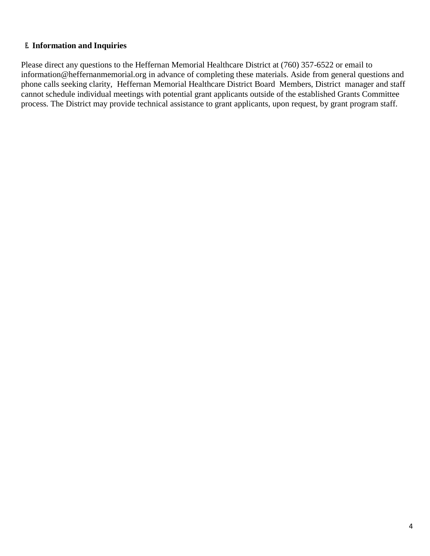# **E. Information and Inquiries**

Please direct any questions to the Heffernan Memorial Healthcare District at (760) 357-6522 or email to [information@heffernanmemorial.org i](mailto:information@heffernanmemorial.org)n advance of completing these materials. Aside from general questions and phone calls seeking clarity, Heffernan Memorial Healthcare District Board Members, District manager and staff cannot schedule individual meetings with potential grant applicants outside of the established Grants Committee process. The District may provide technical assistance to grant applicants, upon request, by grant program staff.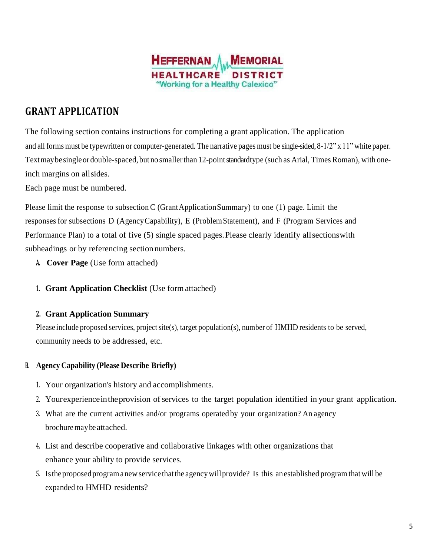

# **GRANT APPLICATION**

The following section contains instructions for completing a grant application. The application and all forms must be typewritten or computer-generated. The narrative pages must be single-sided, 8-1/2" x 11" white paper. Textmay be single or double-spaced, but no smaller than 12-point standardtype (such as Arial, Times Roman), with oneinch margins on allsides.

Each page must be numbered.

Please limit the response to subsection C (GrantApplication Summary) to one  $(1)$  page. Limit the responses for subsections D (AgencyCapability), E (ProblemStatement), and F (Program Services and Performance Plan) to a total of five (5) single spaced pages. Please clearly identify all sections with subheadings or by referencing section numbers.

- **A. Cover Page** (Use form attached)
- 1. **Grant Application Checklist** (Use formattached)

#### **2. Grant Application Summary**

Please include proposed services, project site(s), target population(s), number of HMHD residents to be served, community needs to be addressed, etc.

#### **B. Agency Capability (Please Describe Briefly)**

- 1. Your organization's history and accomplishments.
- 2. Your experience in the provision of services to the target population identified in your grant application.
- 3. What are the current activities and/or programs operated by your organization? An agency brochure may be attached.
- 4. List and describe cooperative and collaborative linkages with other organizations that enhance your ability to provide services.
- 5. Istheproposed programanewservice thatthe agencywillprovide? Is this anestablished program that will be expanded to HMHD residents?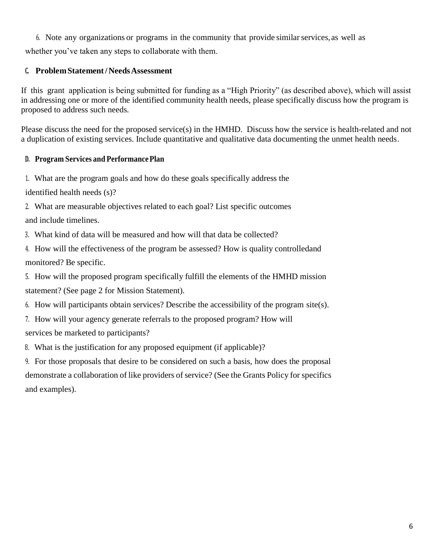6. Note any organizations or programs in the community that provide similarservices,as well as

whether you've taken any steps to collaborate with them.

# **C. ProblemStatement/NeedsAssessment**

If this grant application is being submitted for funding as a "High Priority" (as described above), which will assist in addressing one or more of the identified community health needs, please specifically discuss how the program is proposed to address such needs.

Please discuss the need for the proposed service(s) in the HMHD. Discuss how the service is health-related and not a duplication of existing services. Include quantitative and qualitative data documenting the unmet health needs.

# **D. Program Services and PerformancePlan**

1. What are the program goals and how do these goals specifically address the

identified health needs (s)?

2. What are measurable objectives related to each goal? List specific outcomes

and include timelines.

3. What kind of data will be measured and how will that data be collected?

- 4. How will the effectiveness of the program be assessed? How is quality controlledand monitored? Be specific.
- 5. How will the proposed program specifically fulfill the elements of the HMHD mission statement? (See page 2 for Mission Statement).
- 6. How will participants obtain services? Describe the accessibility of the program site(s).
- 7. How will your agency generate referrals to the proposed program? How will services be marketed to participants?
- 8. What is the justification for any proposed equipment (if applicable)?
- 9. For those proposals that desire to be considered on such a basis, how does the proposal demonstrate a collaboration of like providers of service? (See the Grants Policy for specifics and examples).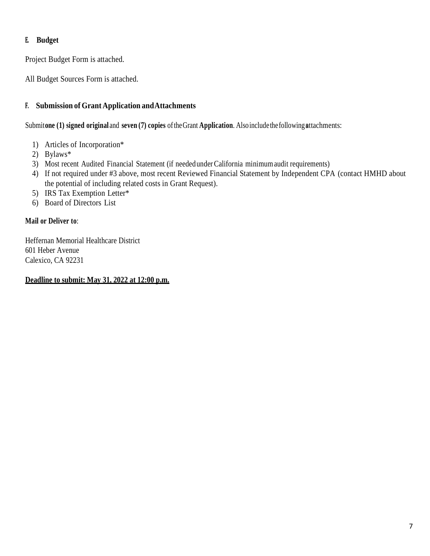# **E. Budget**

Project Budget Form is attached.

All Budget Sources Form is attached.

# **F. Submission of Grant Application andAttachments**

Submitone (1) signed original and seven (7) copies of the Grant Application. Also include the following attachments:

- 1) Articles of Incorporation\*
- 2) Bylaws\*
- 3) Most recent Audited Financial Statement (if needed under California minimumaudit requirements)
- 4) If not required under #3 above, most recent Reviewed Financial Statement by Independent CPA (contact HMHD about the potential of including related costs in Grant Request).
- 5) IRS Tax Exemption Letter\*
- 6) Board of Directors List

# **Mail or Deliver to**:

Heffernan Memorial Healthcare District 601 Heber Avenue Calexico, CA 92231

**Deadline to submit: May 31, 2022 at 12:00 p.m.**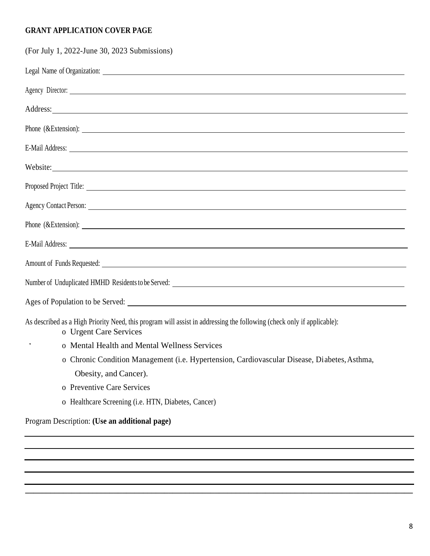# **GRANT APPLICATION COVER PAGE**

| (For July 1, 2022-June 30, 2023 Submissions)                                                                                                                                                                                         |
|--------------------------------------------------------------------------------------------------------------------------------------------------------------------------------------------------------------------------------------|
|                                                                                                                                                                                                                                      |
| Agency Director:                                                                                                                                                                                                                     |
| Address: National Address: Address: National Address: National Address: National Address: National Address: National Address: National Address: National Address: National Address: National Address: National Address: Nation       |
| Phone (&Extension):                                                                                                                                                                                                                  |
| E-Mail Address: <u>New York: Andress and Address and Address and Address and Address and Address and Address and Address and Address and Address and Address and Address and Address and Address and Address and Address and Add</u> |
| Website:                                                                                                                                                                                                                             |
| Proposed Project Title:                                                                                                                                                                                                              |
|                                                                                                                                                                                                                                      |
| Phone (&Extension):                                                                                                                                                                                                                  |
| E-Mail Address: <u>New York: Water and State and State and State and State and State and State and State and State and State and State and State and State and State and State and State and State and State and State and State</u> |
|                                                                                                                                                                                                                                      |
|                                                                                                                                                                                                                                      |
|                                                                                                                                                                                                                                      |
| As described as a High Priority Need, this program will assist in addressing the following (check only if applicable):<br>o Urgent Care Services                                                                                     |
| o Mental Health and Mental Wellness Services                                                                                                                                                                                         |
| o Chronic Condition Management (i.e. Hypertension, Cardiovascular Disease, Diabetes, Asthma,                                                                                                                                         |
| Obesity, and Cancer).                                                                                                                                                                                                                |
| o Preventive Care Services                                                                                                                                                                                                           |
| o Healthcare Screening (i.e. HTN, Diabetes, Cancer)                                                                                                                                                                                  |
| Program Description: (Use an additional page)                                                                                                                                                                                        |

**\_\_\_\_\_\_\_\_\_\_\_\_\_\_\_\_\_\_\_\_\_\_\_\_\_\_\_\_\_\_\_\_\_\_\_\_\_\_\_\_\_\_\_\_\_\_\_\_\_\_\_\_\_\_\_\_\_\_\_\_\_\_\_\_\_\_\_\_\_\_\_\_\_\_\_\_\_\_\_\_\_\_\_\_\_\_\_\_\_\_\_\_**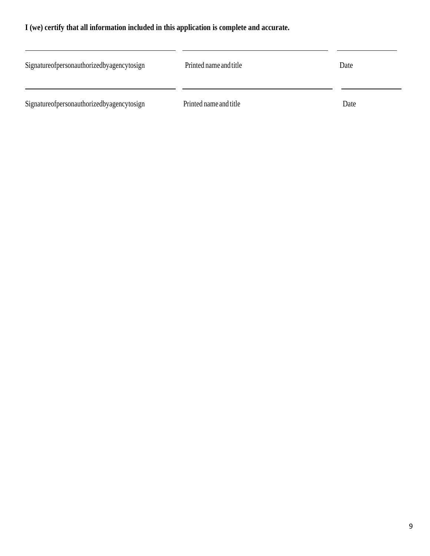# **I (we) certify that all information included in this application is complete and accurate.**

| Signatureofpersonauthorizedbyagencytosign | Printed name and title | Date |
|-------------------------------------------|------------------------|------|
| Signatureofpersonauthorizedbyagencytosign | Printed name and title | Date |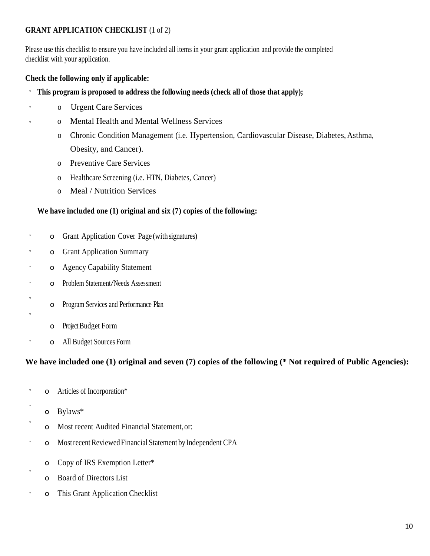# **GRANT APPLICATION CHECKLIST** (1 of 2)

Please use this checklist to ensure you have included all items in your grant application and provide the completed checklist with your application.

# **Check the following only if applicable:**

- **This program is proposed to address the following needs (check all of those that apply);** ٢
	- o Urgent Care Services
		- o Mental Health and Mental Wellness Services
		- o Chronic Condition Management (i.e. Hypertension, Cardiovascular Disease, Diabetes, Asthma, Obesity, and Cancer).
		- o Preventive Care Services
		- o Healthcare Screening (i.e. HTN, Diabetes, Cancer)
		- o Meal / Nutrition Services

#### **We have included one (1) original and six (7) copies of the following:**

- o Grant Application Cover Page (with signatures)
- o Grant Application Summary ¥
- o Agency Capability Statement
- o Problem Statement/Needs Assessment ×
	- o Program Services and Performance Plan
	- o Project Budget Form
	- o All Budget Sources Form

# **We have included one (1) original and seven (7) copies of the following (\* Not required of Public Agencies):**

- o Articles of Incorporation\* ×
- o Bylaws\*
- o Most recent Audited Financial Statement,or:
- t o MostrecentReviewed Financial Statement byIndependent CPA
	- o Copy of IRS Exemption Letter\*
	- o Board of Directors List
- ï o This Grant Application Checklist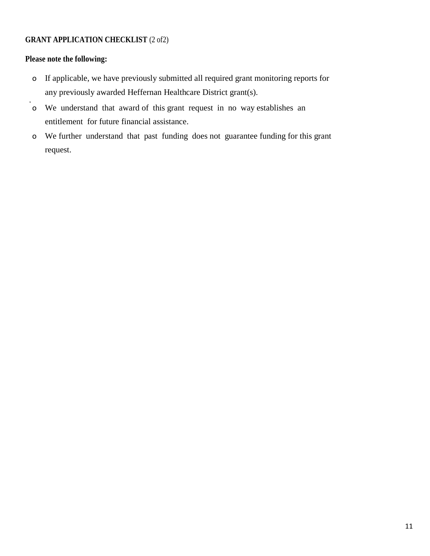# **GRANT APPLICATION CHECKLIST (2 of2)**

# **Please note the following:**

- o If applicable, we have previously submitted all required grant monitoring reports for any previously awarded Heffernan Healthcare District grant(s).
- o We understand that award of this grant request in no way establishes an entitlement for future financial assistance.
- o We further understand that past funding does not guarantee funding for this grant request.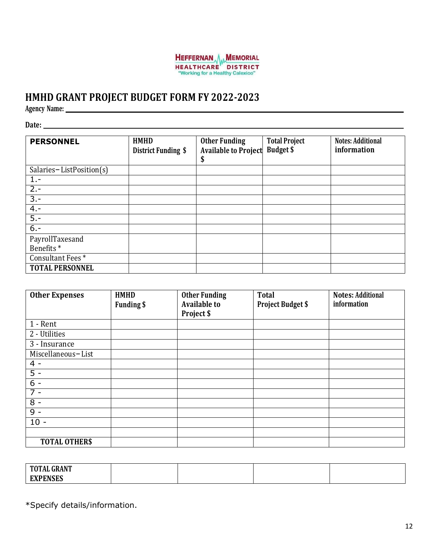

# **HMHD GRANT PROJECT BUDGET FORM FY 2022-2023**

**Agency Name:**

**Date:**

| <b>PERSONNEL</b>                         | <b>HMHD</b><br>District Funding \$ | <b>Other Funding</b><br><b>Available to Project</b><br>Y | <b>Total Project</b><br><b>Budget \$</b> | <b>Notes: Additional</b><br>information |
|------------------------------------------|------------------------------------|----------------------------------------------------------|------------------------------------------|-----------------------------------------|
| Salaries-ListPosition(s)                 |                                    |                                                          |                                          |                                         |
| $1 -$                                    |                                    |                                                          |                                          |                                         |
| $2 -$                                    |                                    |                                                          |                                          |                                         |
| $3 -$                                    |                                    |                                                          |                                          |                                         |
| $4. -$                                   |                                    |                                                          |                                          |                                         |
| $5 -$                                    |                                    |                                                          |                                          |                                         |
| $6. -$                                   |                                    |                                                          |                                          |                                         |
| PayrollTaxesand<br>Benefits <sup>*</sup> |                                    |                                                          |                                          |                                         |
| Consultant Fees*                         |                                    |                                                          |                                          |                                         |
| <b>TOTAL PERSONNEL</b>                   |                                    |                                                          |                                          |                                         |

| <b>Other Expenses</b> | <b>HMHD</b>       | <b>Other Funding</b> | <b>Total</b>             | <b>Notes: Additional</b> |
|-----------------------|-------------------|----------------------|--------------------------|--------------------------|
|                       | <b>Funding \$</b> | <b>Available to</b>  | <b>Project Budget \$</b> | information              |
|                       |                   | Project \$           |                          |                          |
| 1 - Rent              |                   |                      |                          |                          |
| 2 - Utilities         |                   |                      |                          |                          |
| 3 - Insurance         |                   |                      |                          |                          |
| Miscellaneous-List    |                   |                      |                          |                          |
| $4 -$                 |                   |                      |                          |                          |
| $5 -$                 |                   |                      |                          |                          |
| $6 -$                 |                   |                      |                          |                          |
| $7 -$                 |                   |                      |                          |                          |
| $8 -$                 |                   |                      |                          |                          |
| $9 -$                 |                   |                      |                          |                          |
| $10 -$                |                   |                      |                          |                          |
|                       |                   |                      |                          |                          |
| <b>TOTAL OTHERS</b>   |                   |                      |                          |                          |

| <b>TOTAL GRANT</b><br>TOTAL |  |  |
|-----------------------------|--|--|
| <b>FYDFNCFC</b>             |  |  |

\*Specify details/information.